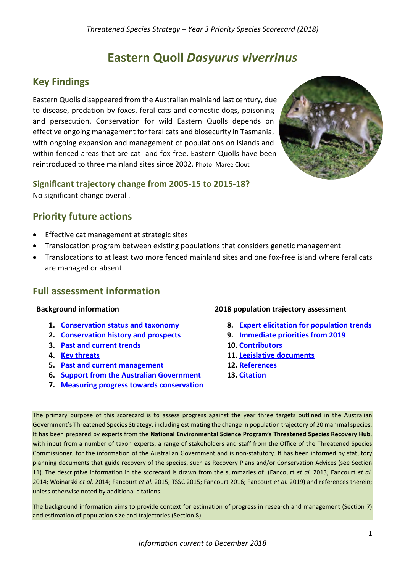# **Eastern Quoll** *Dasyurus viverrinus*

# **Key Findings**

Eastern Quolls disappeared from the Australian mainland last century, due to disease, predation by foxes, feral cats and domestic dogs, poisoning and persecution. Conservation for wild Eastern Quolls depends on effective ongoing management for feral cats and biosecurity in Tasmania, with ongoing expansion and management of populations on islands and within fenced areas that are cat- and fox-free. Eastern Quolls have been reintroduced to three mainland sites since 2002. Photo: Maree Clout



**Significant trajectory change from 2005-15 to 2015-18?** No significant change overall.

# **Priority future actions**

- Effective cat management at strategic sites
- Translocation program between existing populations that considers genetic management
- Translocations to at least two more fenced mainland sites and one fox-free island where feral cats are managed or absent.

## **Full assessment information**

#### **Background information**

- **1. [Conservation status and taxonomy](#page-0-0)**
- **2. [Conservation history and prospects](#page-1-0)**
- **3. [Past and current trends](#page-2-0)**
- **4. [Key threats](#page-6-0)**
- **5. [Past and current management](#page-8-0)**
- **6. [Support from the Australian Government](#page-9-0)**
- **7. [Measuring progress towards conservation](#page-9-1)**

#### **2018 population trajectory assessment**

- **8. [Expert elicitation for population trends](#page-10-0)**
- **9. [Immediate priorities from 2019](#page-13-0)**
- **10. [Contributors](#page-13-1)**
- **11. [Legislative documents](#page-13-2)**
- **12. [References](#page-14-0)**
- **13. Citation**

<span id="page-0-0"></span>The primary purpose of this scorecard is to assess progress against the year three targets outlined in the Australian Government's Threatened Species Strategy, including estimating the change in population trajectory of 20 mammal species. It has been prepared by experts from the **National Environmental Science Program's Threatened Species Recovery Hub**, with input from a number of taxon experts, a range of stakeholders and staff from the Office of the Threatened Species Commissioner, for the information of the Australian Government and is non-statutory. It has been informed by statutory planning documents that guide recovery of the species, such as Recovery Plans and/or Conservation Advices (see Section 11). The descriptive information in the scorecard is drawn from the summaries of [\(Fancourt](#page-14-1) *et al.* 2013; [Fancourt](#page-14-2) *et al.* [2014;](#page-14-2) [Woinarski](#page-14-3) *et al.* 2014; [Fancourt](#page-14-4) *et al.* 2015; [TSSC 2015;](#page-14-5) [Fancourt 2016;](#page-14-6) [Fancourt](#page-14-7) *et al.* 2019) and references therein; unless otherwise noted by additional citations.

The background information aims to provide context for estimation of progress in research and management (Section 7) and estimation of population size and trajectories (Section 8).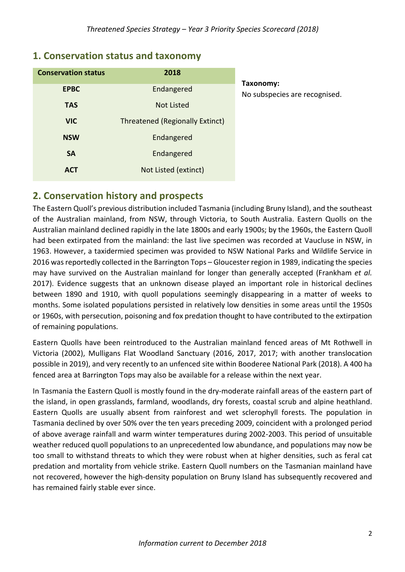| <b>Conservation status</b> | 2018                            |                            |
|----------------------------|---------------------------------|----------------------------|
| <b>EPBC</b>                | Endangered                      | Taxonomy:<br>No subspecies |
| <b>TAS</b>                 | <b>Not Listed</b>               |                            |
| <b>VIC</b>                 | Threatened (Regionally Extinct) |                            |
| <b>NSW</b>                 | Endangered                      |                            |
| <b>SA</b>                  | Endangered                      |                            |
| <b>ACT</b>                 | Not Listed (extinct)            |                            |

## **1. Conservation status and taxonomy**

are recognised.

## <span id="page-1-0"></span>**2. Conservation history and prospects**

The Eastern Quoll's previous distribution included Tasmania (including Bruny Island), and the southeast of the Australian mainland, from NSW, through Victoria, to South Australia. Eastern Quolls on the Australian mainland declined rapidly in the late 1800s and early 1900s; by the 1960s, the Eastern Quoll had been extirpated from the mainland: the last live specimen was recorded at Vaucluse in NSW, in 1963. However, a taxidermied specimen was provided to NSW National Parks and Wildlife Service in 2016 was reportedly collected in the Barrington Tops – Gloucester region in 1989, indicating the species may have survived on the Australian mainland for longer than generally accepted [\(Frankham](#page-14-8) *et al.* [2017\)](#page-14-8). Evidence suggests that an unknown disease played an important role in historical declines between 1890 and 1910, with quoll populations seemingly disappearing in a matter of weeks to months. Some isolated populations persisted in relatively low densities in some areas until the 1950s or 1960s, with persecution, poisoning and fox predation thought to have contributed to the extirpation of remaining populations.

Eastern Quolls have been reintroduced to the Australian mainland fenced areas of Mt Rothwell in Victoria (2002), Mulligans Flat Woodland Sanctuary (2016, 2017, 2017; with another translocation possible in 2019), and very recently to an unfenced site within Booderee National Park (2018). A 400 ha fenced area at Barrington Tops may also be available for a release within the next year.

In Tasmania the Eastern Quoll is mostly found in the dry-moderate rainfall areas of the eastern part of the island, in open grasslands, farmland, woodlands, dry forests, coastal scrub and alpine heathland. Eastern Quolls are usually absent from rainforest and wet sclerophyll forests. The population in Tasmania declined by over 50% over the ten years preceding 2009, coincident with a prolonged period of above average rainfall and warm winter temperatures during 2002-2003. This period of unsuitable weather reduced quoll populations to an unprecedented low abundance, and populations may now be too small to withstand threats to which they were robust when at higher densities, such as feral cat predation and mortality from vehicle strike. Eastern Quoll numbers on the Tasmanian mainland have not recovered, however the high-density population on Bruny Island has subsequently recovered and has remained fairly stable ever since.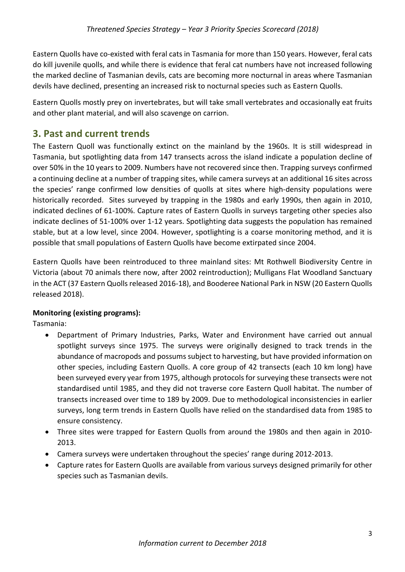Eastern Quolls have co-existed with feral cats in Tasmania for more than 150 years. However, feral cats do kill juvenile quolls, and while there is evidence that feral cat numbers have not increased following the marked decline of Tasmanian devils, cats are becoming more nocturnal in areas where Tasmanian devils have declined, presenting an increased risk to nocturnal species such as Eastern Quolls.

Eastern Quolls mostly prey on invertebrates, but will take small vertebrates and occasionally eat fruits and other plant material, and will also scavenge on carrion.

# <span id="page-2-0"></span>**3. Past and current trends**

The Eastern Quoll was functionally extinct on the mainland by the 1960s. It is still widespread in Tasmania, but spotlighting data from 147 transects across the island indicate a population decline of over 50% in the 10 years to 2009. Numbers have not recovered since then. Trapping surveys confirmed a continuing decline at a number of trapping sites, while camera surveys at an additional 16 sites across the species' range confirmed low densities of quolls at sites where high-density populations were historically recorded. Sites surveyed by trapping in the 1980s and early 1990s, then again in 2010, indicated declines of 61-100%. Capture rates of Eastern Quolls in surveys targeting other species also indicate declines of 51-100% over 1-12 years. Spotlighting data suggests the population has remained stable, but at a low level, since 2004. However, spotlighting is a coarse monitoring method, and it is possible that small populations of Eastern Quolls have become extirpated since 2004.

Eastern Quolls have been reintroduced to three mainland sites: Mt Rothwell Biodiversity Centre in Victoria (about 70 animals there now, after 2002 reintroduction); Mulligans Flat Woodland Sanctuary in the ACT (37 Eastern Quolls released 2016-18), and Booderee National Park in NSW (20 Eastern Quolls released 2018).

## **Monitoring (existing programs):**

Tasmania:

- Department of Primary Industries, Parks, Water and Environment have carried out annual spotlight surveys since 1975. The surveys were originally designed to track trends in the abundance of macropods and possums subject to harvesting, but have provided information on other species, including Eastern Quolls. A core group of 42 transects (each 10 km long) have been surveyed every year from 1975, although protocols for surveying these transects were not standardised until 1985, and they did not traverse core Eastern Quoll habitat. The number of transects increased over time to 189 by 2009. Due to methodological inconsistencies in earlier surveys, long term trends in Eastern Quolls have relied on the standardised data from 1985 to ensure consistency.
- Three sites were trapped for Eastern Quolls from around the 1980s and then again in 2010- 2013.
- Camera surveys were undertaken throughout the species' range during 2012-2013.
- Capture rates for Eastern Quolls are available from various surveys designed primarily for other species such as Tasmanian devils.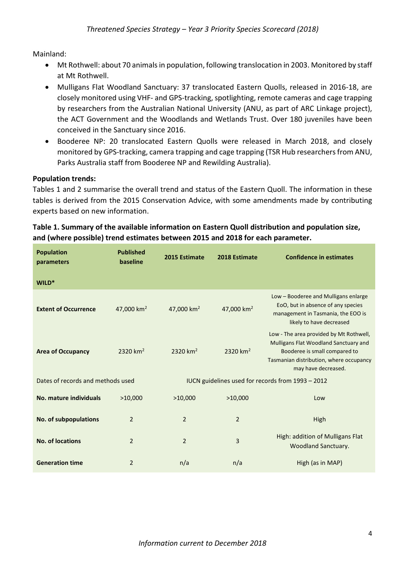Mainland:

- Mt Rothwell: about 70 animals in population, following translocation in 2003. Monitored by staff at Mt Rothwell.
- Mulligans Flat Woodland Sanctuary: 37 translocated Eastern Quolls, released in 2016-18, are closely monitored using VHF- and GPS-tracking, spotlighting, remote cameras and cage trapping by researchers from the Australian National University (ANU, as part of ARC Linkage project), the ACT Government and the Woodlands and Wetlands Trust. Over 180 juveniles have been conceived in the Sanctuary since 2016.
- Booderee NP: 20 translocated Eastern Quolls were released in March 2018, and closely monitored by GPS-tracking, camera trapping and cage trapping (TSR Hub researchers from ANU, Parks Australia staff from Booderee NP and Rewilding Australia).

#### **Population trends:**

Tables 1 and 2 summarise the overall trend and status of the Eastern Quoll. The information in these tables is derived from the 2015 Conservation Advice, with some amendments made by contributing experts based on new information.

## **Table 1. Summary of the available information on Eastern Quoll distribution and population size, and (where possible) trend estimates between 2015 and 2018 for each parameter.**

| <b>Population</b><br>parameters   | <b>Published</b><br>baseline | 2015 Estimate          | 2018 Estimate          | <b>Confidence in estimates</b>                                                                                                                                                      |
|-----------------------------------|------------------------------|------------------------|------------------------|-------------------------------------------------------------------------------------------------------------------------------------------------------------------------------------|
| WILD*                             |                              |                        |                        |                                                                                                                                                                                     |
| <b>Extent of Occurrence</b>       | 47,000 $km2$                 | 47,000 km <sup>2</sup> | 47,000 km <sup>2</sup> | Low - Booderee and Mulligans enlarge<br>EoO, but in absence of any species<br>management in Tasmania, the EOO is<br>likely to have decreased                                        |
| <b>Area of Occupancy</b>          | 2320 km <sup>2</sup>         | 2320 km <sup>2</sup>   | 2320 km <sup>2</sup>   | Low - The area provided by Mt Rothwell,<br>Mulligans Flat Woodland Sanctuary and<br>Booderee is small compared to<br>Tasmanian distribution, where occupancy<br>may have decreased. |
| Dates of records and methods used |                              |                        |                        | IUCN guidelines used for records from 1993 - 2012                                                                                                                                   |
| No. mature individuals            | >10,000                      | >10,000                | >10,000                | Low                                                                                                                                                                                 |
| <b>No. of subpopulations</b>      | $\overline{2}$               | $\overline{2}$         | $\overline{2}$         | High                                                                                                                                                                                |
| <b>No. of locations</b>           | $\overline{2}$               | $\overline{2}$         | 3                      | High: addition of Mulligans Flat<br><b>Woodland Sanctuary.</b>                                                                                                                      |
| <b>Generation time</b>            | $\overline{2}$               | n/a                    | n/a                    | High (as in MAP)                                                                                                                                                                    |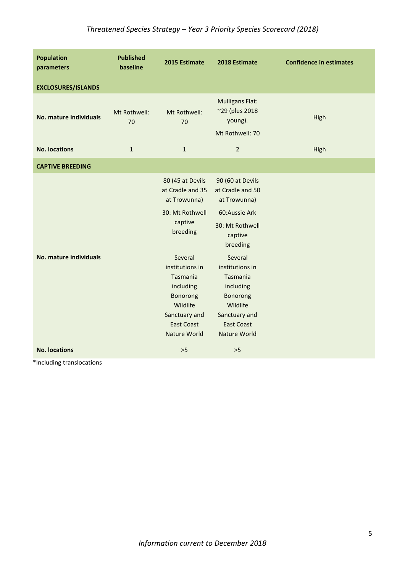| <b>Population</b><br>parameters | <b>Published</b><br>baseline | 2015 Estimate                                                                                                                            | 2018 Estimate                                                                                                                            | <b>Confidence in estimates</b> |
|---------------------------------|------------------------------|------------------------------------------------------------------------------------------------------------------------------------------|------------------------------------------------------------------------------------------------------------------------------------------|--------------------------------|
| <b>EXCLOSURES/ISLANDS</b>       |                              |                                                                                                                                          |                                                                                                                                          |                                |
| No. mature individuals          | Mt Rothwell:<br>70           | Mt Rothwell:<br>70                                                                                                                       | <b>Mulligans Flat:</b><br>~29 (plus 2018<br>young).<br>Mt Rothwell: 70                                                                   | High                           |
| <b>No. locations</b>            | $\mathbf{1}$                 | $\mathbf{1}$                                                                                                                             | $\overline{2}$                                                                                                                           | High                           |
| <b>CAPTIVE BREEDING</b>         |                              |                                                                                                                                          |                                                                                                                                          |                                |
|                                 |                              | 80 (45 at Devils<br>at Cradle and 35<br>at Trowunna)<br>30: Mt Rothwell<br>captive<br>breeding                                           | 90 (60 at Devils<br>at Cradle and 50<br>at Trowunna)<br>60:Aussie Ark<br>30: Mt Rothwell<br>captive<br>breeding                          |                                |
| <b>No. mature individuals</b>   |                              | Several<br>institutions in<br>Tasmania<br>including<br><b>Bonorong</b><br>Wildlife<br>Sanctuary and<br><b>East Coast</b><br>Nature World | Several<br>institutions in<br>Tasmania<br>including<br>Bonorong<br>Wildlife<br>Sanctuary and<br><b>East Coast</b><br><b>Nature World</b> |                                |
| <b>No. locations</b>            |                              | $>5$                                                                                                                                     | $>5$                                                                                                                                     |                                |

\*Including translocations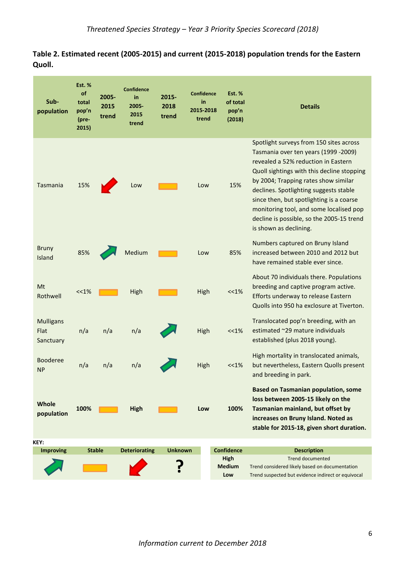## **Table 2. Estimated recent (2005-2015) and current (2015-2018) population trends for the Eastern Quoll.**

| Sub-<br>population                    | <b>Est. %</b><br>of<br>total<br>pop'n<br>(pre-<br>2015) | 2005-<br>2015<br>trend | <b>Confidence</b><br>in<br>2005-<br>2015<br>trend | 2015-<br>2018<br>trend | <b>Confidence</b><br>in<br>2015-2018<br>trend | <b>Est. %</b><br>of total<br>pop'n<br>(2018)             | <b>Details</b>                                                                                                                                                                                                                                                                                                                                                                                                       |
|---------------------------------------|---------------------------------------------------------|------------------------|---------------------------------------------------|------------------------|-----------------------------------------------|----------------------------------------------------------|----------------------------------------------------------------------------------------------------------------------------------------------------------------------------------------------------------------------------------------------------------------------------------------------------------------------------------------------------------------------------------------------------------------------|
| Tasmania                              | 15%                                                     |                        | Low                                               |                        | Low                                           | 15%                                                      | Spotlight surveys from 150 sites across<br>Tasmania over ten years (1999 -2009)<br>revealed a 52% reduction in Eastern<br>Quoll sightings with this decline stopping<br>by 2004; Trapping rates show similar<br>declines. Spotlighting suggests stable<br>since then, but spotlighting is a coarse<br>monitoring tool, and some localised pop<br>decline is possible, so the 2005-15 trend<br>is shown as declining. |
| <b>Bruny</b><br>Island                | 85%                                                     |                        | Medium                                            |                        | Low                                           | 85%                                                      | Numbers captured on Bruny Island<br>increased between 2010 and 2012 but<br>have remained stable ever since.                                                                                                                                                                                                                                                                                                          |
| Mt<br>Rothwell                        | <<1%                                                    |                        | High                                              |                        | High                                          | <<1%                                                     | About 70 individuals there. Populations<br>breeding and captive program active.<br>Efforts underway to release Eastern<br>Quolls into 950 ha exclosure at Tiverton.                                                                                                                                                                                                                                                  |
| <b>Mulligans</b><br>Flat<br>Sanctuary | n/a                                                     | n/a                    | n/a                                               |                        | High                                          | $<<1\%$                                                  | Translocated pop'n breeding, with an<br>estimated ~29 mature individuals<br>established (plus 2018 young).                                                                                                                                                                                                                                                                                                           |
| Booderee<br><b>NP</b>                 | n/a                                                     | n/a                    | n/a                                               |                        | High                                          | <<1%                                                     | High mortality in translocated animals,<br>but nevertheless, Eastern Quolls present<br>and breeding in park.                                                                                                                                                                                                                                                                                                         |
| Whole<br>population                   | 100%                                                    |                        | <b>High</b>                                       |                        | Low                                           | 100%                                                     | <b>Based on Tasmanian population, some</b><br>loss between 2005-15 likely on the<br>Tasmanian mainland, but offset by<br>increases on Bruny Island. Noted as<br>stable for 2015-18, given short duration.                                                                                                                                                                                                            |
| KEY:                                  |                                                         |                        |                                                   |                        |                                               |                                                          |                                                                                                                                                                                                                                                                                                                                                                                                                      |
| <b>Improving</b>                      |                                                         | <b>Stable</b>          | <b>Deteriorating</b>                              | <b>Unknown</b>         |                                               | <b>Confidence</b><br><b>High</b><br><b>Medium</b><br>Low | <b>Description</b><br><b>Trend documented</b><br>Trend considered likely based on documentation<br>Trend suspected but evidence indirect or equivocal                                                                                                                                                                                                                                                                |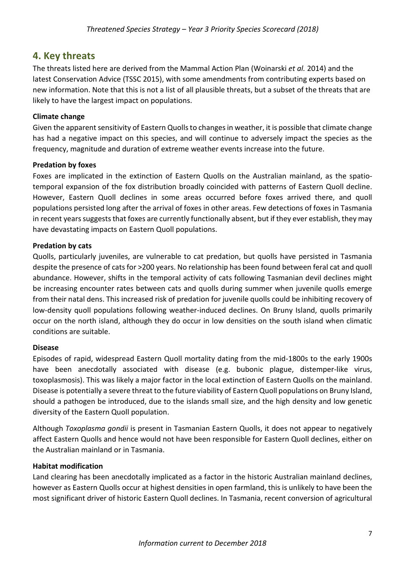## <span id="page-6-0"></span>**4. Key threats**

The threats listed here are derived from the Mammal Action Plan [\(Woinarski](#page-14-7) *et al.* 2014) and the latest Conservation Advice [\(TSSC 2015\)](#page-14-1), with some amendments from contributing experts based on new information. Note that this is not a list of all plausible threats, but a subset of the threats that are likely to have the largest impact on populations.

## **Climate change**

Given the apparent sensitivity of Eastern Quolls to changes in weather, it is possible that climate change has had a negative impact on this species, and will continue to adversely impact the species as the frequency, magnitude and duration of extreme weather events increase into the future.

#### **Predation by foxes**

Foxes are implicated in the extinction of Eastern Quolls on the Australian mainland, as the spatiotemporal expansion of the fox distribution broadly coincided with patterns of Eastern Quoll decline. However, Eastern Quoll declines in some areas occurred before foxes arrived there, and quoll populations persisted long after the arrival of foxes in other areas. Few detections of foxes in Tasmania in recent years suggests that foxes are currently functionally absent, but if they ever establish, they may have devastating impacts on Eastern Quoll populations.

#### **Predation by cats**

Quolls, particularly juveniles, are vulnerable to cat predation, but quolls have persisted in Tasmania despite the presence of cats for >200 years. No relationship has been found between feral cat and quoll abundance. However, shifts in the temporal activity of cats following Tasmanian devil declines might be increasing encounter rates between cats and quolls during summer when juvenile quolls emerge from their natal dens. This increased risk of predation for juvenile quolls could be inhibiting recovery of low-density quoll populations following weather-induced declines. On Bruny Island, quolls primarily occur on the north island, although they do occur in low densities on the south island when climatic conditions are suitable.

#### **Disease**

Episodes of rapid, widespread Eastern Quoll mortality dating from the mid-1800s to the early 1900s have been anecdotally associated with disease (e.g. bubonic plague, distemper-like virus, toxoplasmosis). This was likely a major factor in the local extinction of Eastern Quolls on the mainland. Disease is potentially a severe threat to the future viability of Eastern Quoll populations on Bruny Island, should a pathogen be introduced, due to the islands small size, and the high density and low genetic diversity of the Eastern Quoll population.

Although *Toxoplasma gondii* is present in Tasmanian Eastern Quolls, it does not appear to negatively affect Eastern Quolls and hence would not have been responsible for Eastern Quoll declines, either on the Australian mainland or in Tasmania.

#### **Habitat modification**

Land clearing has been anecdotally implicated as a factor in the historic Australian mainland declines, however as Eastern Quolls occur at highest densities in open farmland, this is unlikely to have been the most significant driver of historic Eastern Quoll declines. In Tasmania, recent conversion of agricultural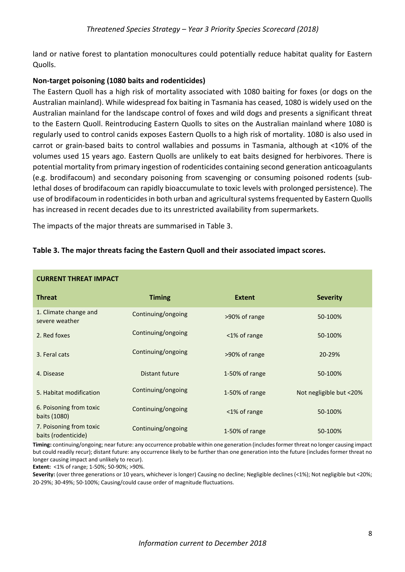land or native forest to plantation monocultures could potentially reduce habitat quality for Eastern Quolls.

### **Non-target poisoning (1080 baits and rodenticides)**

The Eastern Quoll has a high risk of mortality associated with 1080 baiting for foxes (or dogs on the Australian mainland). While widespread fox baiting in Tasmania has ceased, 1080 is widely used on the Australian mainland for the landscape control of foxes and wild dogs and presents a significant threat to the Eastern Quoll. Reintroducing Eastern Quolls to sites on the Australian mainland where 1080 is regularly used to control canids exposes Eastern Quolls to a high risk of mortality. 1080 is also used in carrot or grain-based baits to control wallabies and possums in Tasmania, although at <10% of the volumes used 15 years ago. Eastern Quolls are unlikely to eat baits designed for herbivores. There is potential mortality from primary ingestion of rodenticides containing second generation anticoagulants (e.g. brodifacoum) and secondary poisoning from scavenging or consuming poisoned rodents (sublethal doses of brodifacoum can rapidly bioaccumulate to toxic levels with prolonged persistence). The use of brodifacoum in rodenticides in both urban and agricultural systems frequented by Eastern Quolls has increased in recent decades due to its unrestricted availability from supermarkets.

The impacts of the major threats are summarised in Table 3.

| <b>CURRENT THREAT IMPACT</b>                   |                    |                |                         |  |
|------------------------------------------------|--------------------|----------------|-------------------------|--|
| <b>Threat</b>                                  | <b>Timing</b>      | <b>Extent</b>  | <b>Severity</b>         |  |
| 1. Climate change and<br>severe weather        | Continuing/ongoing | >90% of range  | 50-100%                 |  |
| 2. Red foxes                                   | Continuing/ongoing | <1% of range   | 50-100%                 |  |
| 3. Feral cats                                  | Continuing/ongoing | >90% of range  | 20-29%                  |  |
| 4. Disease                                     | Distant future     | 1-50% of range | 50-100%                 |  |
| 5. Habitat modification                        | Continuing/ongoing | 1-50% of range | Not negligible but <20% |  |
| 6. Poisoning from toxic<br>baits (1080)        | Continuing/ongoing | <1% of range   | 50-100%                 |  |
| 7. Poisoning from toxic<br>baits (rodenticide) | Continuing/ongoing | 1-50% of range | 50-100%                 |  |

## **Table 3. The major threats facing the Eastern Quoll and their associated impact scores.**

**Timing:** continuing/ongoing; near future: any occurrence probable within one generation (includes former threat no longer causing impact but could readily recur); distant future: any occurrence likely to be further than one generation into the future (includes former threat no longer causing impact and unlikely to recur).

**Extent:** <1% of range; 1-50%; 50-90%; >90%.

Severity: (over three generations or 10 years, whichever is longer) Causing no decline; Negligible declines (<1%); Not negligible but <20%; 20-29%; 30-49%; 50-100%; Causing/could cause order of magnitude fluctuations.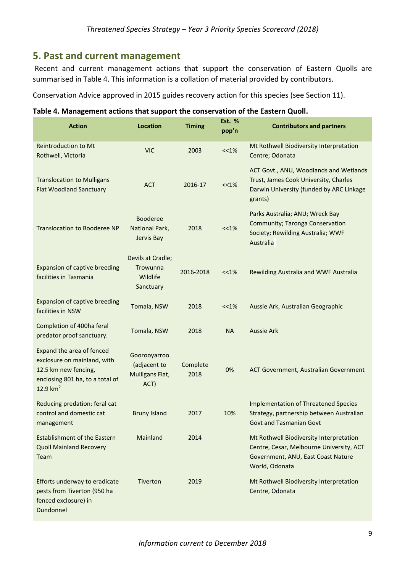## <span id="page-8-0"></span>**5. Past and current management**

Recent and current management actions that support the conservation of Eastern Quolls are summarised in Table 4. This information is a collation of material provided by contributors.

Conservation Advice approved in 2015 guides recovery action for this species (see Section 11).

| Table 4. Management actions that support the conservation of the Eastern Quoll. |  |
|---------------------------------------------------------------------------------|--|
|                                                                                 |  |

| <b>Action</b>                                                                                                                      | <b>Location</b>                                         | <b>Timing</b>    | <b>Est. %</b><br>pop'n | <b>Contributors and partners</b>                                                                                                            |
|------------------------------------------------------------------------------------------------------------------------------------|---------------------------------------------------------|------------------|------------------------|---------------------------------------------------------------------------------------------------------------------------------------------|
| <b>Reintroduction to Mt</b><br>Rothwell, Victoria                                                                                  | <b>VIC</b>                                              | 2003             | $<< 1\%$               | Mt Rothwell Biodiversity Interpretation<br>Centre; Odonata                                                                                  |
| <b>Translocation to Mulligans</b><br><b>Flat Woodland Sanctuary</b>                                                                | <b>ACT</b>                                              | 2016-17          | <<1%                   | ACT Govt., ANU, Woodlands and Wetlands<br>Trust, James Cook University, Charles<br>Darwin University (funded by ARC Linkage<br>grants)      |
| <b>Translocation to Booderee NP</b>                                                                                                | <b>Booderee</b><br>National Park,<br>Jervis Bay         | 2018             | <<1%                   | Parks Australia; ANU; Wreck Bay<br>Community; Taronga Conservation<br>Society; Rewilding Australia; WWF<br>Australia                        |
| Expansion of captive breeding<br>facilities in Tasmania                                                                            | Devils at Cradle;<br>Trowunna<br>Wildlife<br>Sanctuary  | 2016-2018        | <<1%                   | Rewilding Australia and WWF Australia                                                                                                       |
| Expansion of captive breeding<br>facilities in NSW                                                                                 | Tomala, NSW                                             | 2018             | <<1%                   | Aussie Ark, Australian Geographic                                                                                                           |
| Completion of 400ha feral<br>predator proof sanctuary.                                                                             | Tomala, NSW                                             | 2018             | <b>NA</b>              | <b>Aussie Ark</b>                                                                                                                           |
| Expand the area of fenced<br>exclosure on mainland, with<br>12.5 km new fencing,<br>enclosing 801 ha, to a total of<br>12.9 $km^2$ | Goorooyarroo<br>(adjacent to<br>Mulligans Flat,<br>ACT) | Complete<br>2018 | 0%                     | ACT Government, Australian Government                                                                                                       |
| Reducing predation: feral cat<br>control and domestic cat<br>management                                                            | <b>Bruny Island</b>                                     | 2017             | 10%                    | <b>Implementation of Threatened Species</b><br>Strategy, partnership between Australian<br><b>Govt and Tasmanian Govt</b>                   |
| <b>Establishment of the Eastern</b><br><b>Quoll Mainland Recovery</b><br>Team                                                      | Mainland                                                | 2014             |                        | Mt Rothwell Biodiversity Interpretation<br>Centre, Cesar, Melbourne University, ACT<br>Government, ANU, East Coast Nature<br>World, Odonata |
| Efforts underway to eradicate<br>pests from Tiverton (950 ha<br>fenced exclosure) in<br>Dundonnel                                  | Tiverton                                                | 2019             |                        | Mt Rothwell Biodiversity Interpretation<br>Centre, Odonata                                                                                  |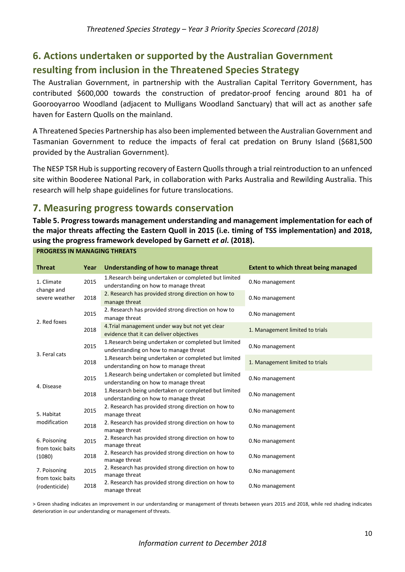# <span id="page-9-0"></span>**6. Actions undertaken or supported by the Australian Government resulting from inclusion in the Threatened Species Strategy**

The Australian Government, in partnership with the Australian Capital Territory Government, has contributed \$600,000 towards the construction of predator-proof fencing around 801 ha of Goorooyarroo Woodland (adjacent to Mulligans Woodland Sanctuary) that will act as another safe haven for Eastern Quolls on the mainland.

A Threatened Species Partnership has also been implemented between the Australian Government and Tasmanian Government to reduce the impacts of feral cat predation on Bruny Island (\$681,500 provided by the Australian Government).

The NESP TSR Hub is supporting recovery of Eastern Quollsthrough a trial reintroduction to an unfenced site within Booderee National Park, in collaboration with Parks Australia and Rewilding Australia. This research will help shape guidelines for future translocations.

# <span id="page-9-1"></span>**7. Measuring progress towards conservation**

**PROGRESS IN MANAGING THREATS**

**Table 5. Progress towards management understanding and management implementation for each of the major threats affecting the Eastern Quoll in 2015 (i.e. timing of TSS implementation) and 2018, using the progress framework developed by Garnett** *et al***. (2018).** 

| <b>Threat</b>                              | Year | Understanding of how to manage threat                                                          | <b>Extent to which threat being managed</b> |
|--------------------------------------------|------|------------------------------------------------------------------------------------------------|---------------------------------------------|
| 1. Climate<br>change and<br>severe weather | 2015 | 1. Research being undertaken or completed but limited<br>understanding on how to manage threat | 0.No management                             |
|                                            | 2018 | 2. Research has provided strong direction on how to<br>manage threat                           | 0.No management                             |
| 2. Red foxes                               | 2015 | 2. Research has provided strong direction on how to<br>manage threat                           | 0.No management                             |
|                                            | 2018 | 4. Trial management under way but not yet clear<br>evidence that it can deliver objectives     | 1. Management limited to trials             |
|                                            | 2015 | 1. Research being undertaken or completed but limited<br>understanding on how to manage threat | 0.No management                             |
| 3. Feral cats                              | 2018 | 1. Research being undertaken or completed but limited<br>understanding on how to manage threat | 1. Management limited to trials             |
| 4. Disease                                 | 2015 | 1. Research being undertaken or completed but limited<br>understanding on how to manage threat | 0.No management                             |
|                                            | 2018 | 1. Research being undertaken or completed but limited<br>understanding on how to manage threat | 0.No management                             |
| 5. Habitat                                 | 2015 | 2. Research has provided strong direction on how to<br>manage threat                           | 0.No management                             |
| modification                               | 2018 | 2. Research has provided strong direction on how to<br>manage threat                           | 0.No management                             |
| 6. Poisoning<br>from toxic baits<br>(1080) | 2015 | 2. Research has provided strong direction on how to<br>manage threat                           | 0.No management                             |
|                                            | 2018 | 2. Research has provided strong direction on how to<br>manage threat                           | 0.No management                             |
| 7. Poisoning<br>from toxic baits           | 2015 | 2. Research has provided strong direction on how to<br>manage threat                           | 0.No management                             |
| (rodenticide)                              | 2018 | 2. Research has provided strong direction on how to<br>manage threat                           | 0.No management                             |

> Green shading indicates an improvement in our understanding or management of threats between years 2015 and 2018, while red shading indicates deterioration in our understanding or management of threats.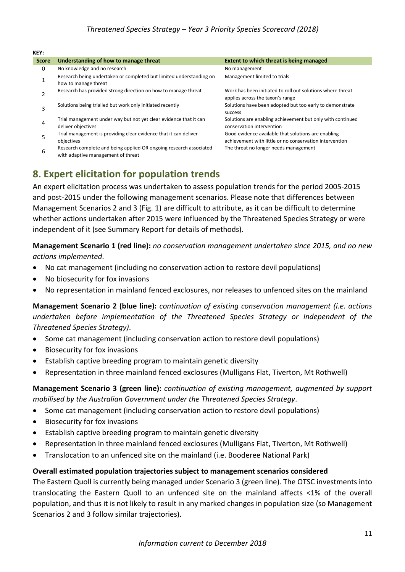#### **KEY:**

| <b>Score</b> | Understanding of how to manage threat                                                       | Extent to which threat is being managed                                                                        |
|--------------|---------------------------------------------------------------------------------------------|----------------------------------------------------------------------------------------------------------------|
| 0            | No knowledge and no research                                                                | No management                                                                                                  |
|              | Research being undertaken or completed but limited understanding on<br>how to manage threat | Management limited to trials                                                                                   |
|              | Research has provided strong direction on how to manage threat                              | Work has been initiated to roll out solutions where threat<br>applies across the taxon's range                 |
| 3            | Solutions being trialled but work only initiated recently                                   | Solutions have been adopted but too early to demonstrate<br>success                                            |
| 4            | Trial management under way but not yet clear evidence that it can<br>deliver objectives     | Solutions are enabling achievement but only with continued<br>conservation intervention                        |
| 5            | Trial management is providing clear evidence that it can deliver<br>objectives              | Good evidence available that solutions are enabling<br>achievement with little or no conservation intervention |
|              | Research complete and being applied OR ongoing research associated                          | The threat no longer needs management                                                                          |

Research complete and being applied OR ongoing research associated<br>6 with adaptive management of threat

# <span id="page-10-0"></span>**8. Expert elicitation for population trends**

An expert elicitation process was undertaken to assess population trends for the period 2005-2015 and post-2015 under the following management scenarios. Please note that differences between Management Scenarios 2 and 3 (Fig. 1) are difficult to attribute, as it can be difficult to determine whether actions undertaken after 2015 were influenced by the Threatened Species Strategy or were independent of it (see Summary Report for details of methods).

**Management Scenario 1 (red line):** *no conservation management undertaken since 2015, and no new actions implemented*.

- No cat management (including no conservation action to restore devil populations)
- No biosecurity for fox invasions
- No representation in mainland fenced exclosures, nor releases to unfenced sites on the mainland

## **Management Scenario 2 (blue line):** *continuation of existing conservation management (i.e. actions undertaken before implementation of the Threatened Species Strategy or independent of the Threatened Species Strategy)*.

- Some cat management (including conservation action to restore devil populations)
- Biosecurity for fox invasions
- Establish captive breeding program to maintain genetic diversity
- Representation in three mainland fenced exclosures (Mulligans Flat, Tiverton, Mt Rothwell)

## **Management Scenario 3 (green line):** *continuation of existing management, augmented by support mobilised by the Australian Government under the Threatened Species Strategy*.

- Some cat management (including conservation action to restore devil populations)
- Biosecurity for fox invasions
- Establish captive breeding program to maintain genetic diversity
- Representation in three mainland fenced exclosures (Mulligans Flat, Tiverton, Mt Rothwell)
- Translocation to an unfenced site on the mainland (i.e. Booderee National Park)

#### **Overall estimated population trajectories subject to management scenarios considered**

The Eastern Quoll is currently being managed under Scenario 3 (green line). The OTSC investments into translocating the Eastern Quoll to an unfenced site on the mainland affects <1% of the overall population, and thus it is not likely to result in any marked changes in population size (so Management Scenarios 2 and 3 follow similar trajectories).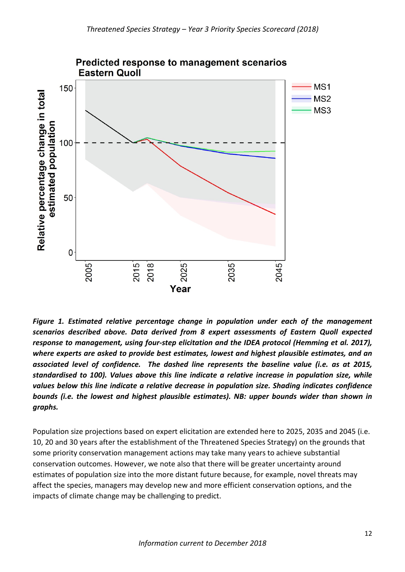

*Figure 1. Estimated relative percentage change in population under each of the management scenarios described above. Data derived from 8 expert assessments of Eastern Quoll expected response to management, using four-step elicitation and the IDEA protocol (Hemming et al. 2017), where experts are asked to provide best estimates, lowest and highest plausible estimates, and an associated level of confidence. The dashed line represents the baseline value (i.e. as at 2015, standardised to 100). Values above this line indicate a relative increase in population size, while values below this line indicate a relative decrease in population size. Shading indicates confidence bounds (i.e. the lowest and highest plausible estimates). NB: upper bounds wider than shown in graphs.*

Population size projections based on expert elicitation are extended here to 2025, 2035 and 2045 (i.e. 10, 20 and 30 years after the establishment of the Threatened Species Strategy) on the grounds that some priority conservation management actions may take many years to achieve substantial conservation outcomes. However, we note also that there will be greater uncertainty around estimates of population size into the more distant future because, for example, novel threats may affect the species, managers may develop new and more efficient conservation options, and the impacts of climate change may be challenging to predict.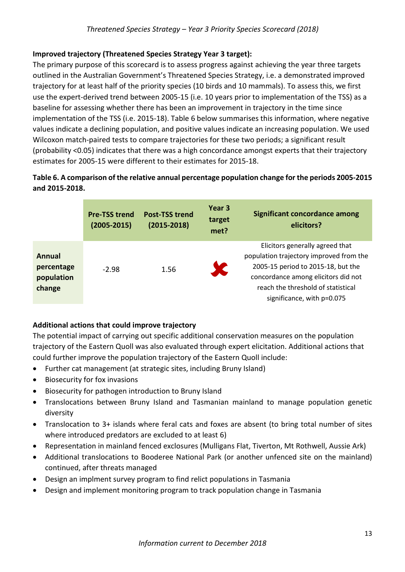## **Improved trajectory (Threatened Species Strategy Year 3 target):**

The primary purpose of this scorecard is to assess progress against achieving the year three targets outlined in the Australian Government's Threatened Species Strategy, i.e. a demonstrated improved trajectory for at least half of the priority species (10 birds and 10 mammals). To assess this, we first use the expert-derived trend between 2005-15 (i.e. 10 years prior to implementation of the TSS) as a baseline for assessing whether there has been an improvement in trajectory in the time since implementation of the TSS (i.e. 2015-18). Table 6 below summarises this information, where negative values indicate a declining population, and positive values indicate an increasing population. We used Wilcoxon match-paired tests to compare trajectories for these two periods; a significant result (probability <0.05) indicates that there was a high concordance amongst experts that their trajectory estimates for 2005-15 were different to their estimates for 2015-18.

## **Table 6. A comparison of the relative annual percentage population change for the periods 2005-2015 and 2015-2018.**

|                                              | <b>Pre-TSS trend</b><br>$(2005 - 2015)$ | <b>Post-TSS trend</b><br>$(2015 - 2018)$ | Year 3<br>target<br>met? | <b>Significant concordance among</b><br>elicitors?                                                                                                                                                                          |
|----------------------------------------------|-----------------------------------------|------------------------------------------|--------------------------|-----------------------------------------------------------------------------------------------------------------------------------------------------------------------------------------------------------------------------|
| Annual<br>percentage<br>population<br>change | $-2.98$                                 | 1.56                                     |                          | Elicitors generally agreed that<br>population trajectory improved from the<br>2005-15 period to 2015-18, but the<br>concordance among elicitors did not<br>reach the threshold of statistical<br>significance, with p=0.075 |

## **Additional actions that could improve trajectory**

The potential impact of carrying out specific additional conservation measures on the population trajectory of the Eastern Quoll was also evaluated through expert elicitation. Additional actions that could further improve the population trajectory of the Eastern Quoll include:

- Further cat management (at strategic sites, including Bruny Island)
- Biosecurity for fox invasions
- Biosecurity for pathogen introduction to Bruny Island
- Translocations between Bruny Island and Tasmanian mainland to manage population genetic diversity
- Translocation to 3+ islands where feral cats and foxes are absent (to bring total number of sites where introduced predators are excluded to at least 6)
- Representation in mainland fenced exclosures (Mulligans Flat, Tiverton, Mt Rothwell, Aussie Ark)
- Additional translocations to Booderee National Park (or another unfenced site on the mainland) continued, after threats managed
- Design an implment survey program to find relict populations in Tasmania
- Design and implement monitoring program to track population change in Tasmania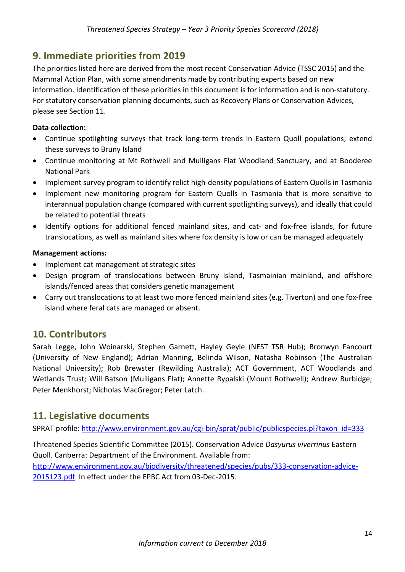## <span id="page-13-0"></span>**9. Immediate priorities from 2019**

The priorities listed here are derived from the most recent Conservation Advice (TSSC 2015) and the Mammal Action Plan, with some amendments made by contributing experts based on new information. Identification of these priorities in this document is for information and is non-statutory. For statutory conservation planning documents, such as Recovery Plans or Conservation Advices, please see Section 11.

## **Data collection:**

- Continue spotlighting surveys that track long-term trends in Eastern Quoll populations; extend these surveys to Bruny Island
- Continue monitoring at Mt Rothwell and Mulligans Flat Woodland Sanctuary, and at Booderee National Park
- Implement survey program to identify relict high-density populations of Eastern Quolls in Tasmania
- Implement new monitoring program for Eastern Quolls in Tasmania that is more sensitive to interannual population change (compared with current spotlighting surveys), and ideally that could be related to potential threats
- Identify options for additional fenced mainland sites, and cat- and fox-free islands, for future translocations, as well as mainland sites where fox density is low or can be managed adequately

#### **Management actions:**

- Implement cat management at strategic sites
- Design program of translocations between Bruny Island, Tasmainian mainland, and offshore islands/fenced areas that considers genetic management
- Carry out translocations to at least two more fenced mainland sites (e.g. Tiverton) and one fox-free island where feral cats are managed or absent.

## <span id="page-13-1"></span>**10. Contributors**

Sarah Legge, John Woinarski, Stephen Garnett, Hayley Geyle (NEST TSR Hub); Bronwyn Fancourt (University of New England); Adrian Manning, Belinda Wilson, Natasha Robinson (The Australian National University); Rob Brewster (Rewilding Australia); ACT Government, ACT Woodlands and Wetlands Trust; Will Batson (Mulligans Flat); Annette Rypalski (Mount Rothwell); Andrew Burbidge; Peter Menkhorst; Nicholas MacGregor; Peter Latch.

## <span id="page-13-2"></span>**11. Legislative documents**

SPRAT profile: [http://www.environment.gov.au/cgi-bin/sprat/public/publicspecies.pl?taxon\\_id=333](http://www.environment.gov.au/cgi-bin/sprat/public/publicspecies.pl?taxon_id=333)

Threatened Species Scientific Committee (2015). Conservation Advice *Dasyurus viverrinus* Eastern Quoll. Canberra: Department of the Environment. Available from: [http://www.environment.gov.au/biodiversity/threatened/species/pubs/333-conservation-advice-](http://www.environment.gov.au/biodiversity/threatened/species/pubs/333-conservation-advice-2015123.pdf)[2015123.pdf.](http://www.environment.gov.au/biodiversity/threatened/species/pubs/333-conservation-advice-2015123.pdf) In effect under the EPBC Act from 03-Dec-2015.